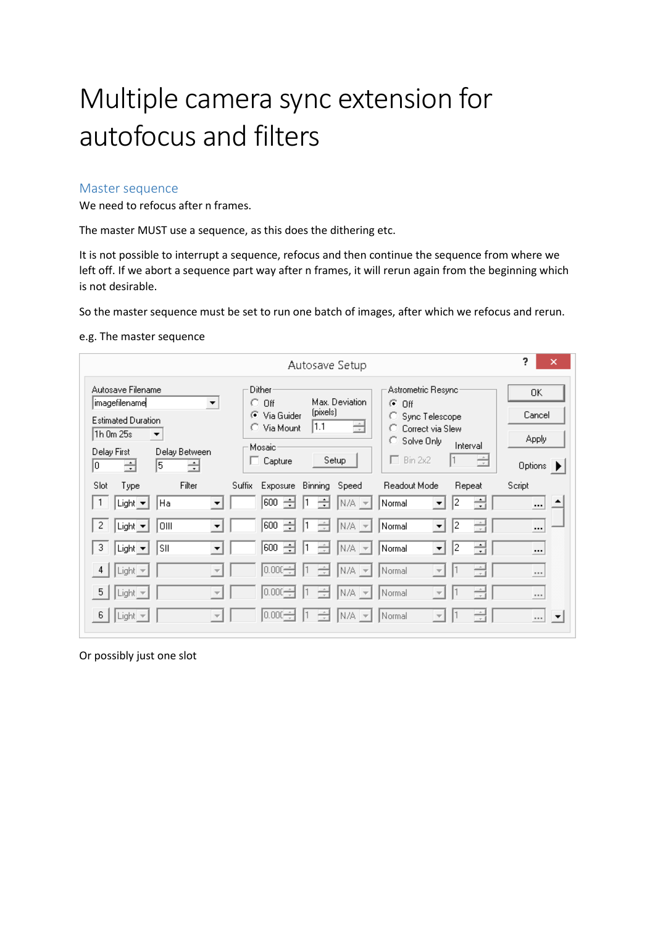# Multiple camera sync extension for autofocus and filters

### Master sequence

We need to refocus after n frames.

The master MUST use a sequence, as this does the dithering etc.

It is not possible to interrupt a sequence, refocus and then continue the sequence from where we left off. If we abort a sequence part way after n frames, it will rerun again from the beginning which is not desirable.

So the master sequence must be set to run one batch of images, after which we refocus and rerun.

#### e.g. The master sequence

| Autosave Setup                                                                                                                          |                          |                                                                         |                  |                              |                                            | ?<br>×                                                                  |                      |                                                  |
|-----------------------------------------------------------------------------------------------------------------------------------------|--------------------------|-------------------------------------------------------------------------|------------------|------------------------------|--------------------------------------------|-------------------------------------------------------------------------|----------------------|--------------------------------------------------|
| Autosave Filename<br> imagefilename <br><b>Estimated Duration</b><br>1h Om 25s<br>$\blacktriangledown$<br>Delay First<br>lo.<br>÷<br>15 | ▼<br>Delay Between<br>÷  | Dither<br>O.<br>Off<br>⊙ Via Guider<br>C Via Mount<br>Mosaic<br>Capture | (pixels)<br> 1.1 | Max. Deviation<br>÷<br>Setup | G<br>Off<br>о<br>o<br>C.<br>$\Box$ Bin 2x2 | Astrometric Resyncr<br>Sync Telescope<br>Correct via Slew<br>Solve Only | Interval<br>÷        | OΚ<br>Cancel<br>Apply<br>Options >               |
| Slot<br>Type                                                                                                                            | Filter                   | Suffix<br><b>Exposure</b>                                               | Binning          | Speed                        | Readout Mode                               |                                                                         | Repeat               | Script                                           |
| Light v<br>Ha                                                                                                                           | $\overline{\phantom{a}}$ | 600<br>÷                                                                | ÷                | $N/A$ $\rightarrow$          | Normal                                     | $\overline{\phantom{a}}$                                                | ÷<br>2               | $\cdots$                                         |
| $\overline{2}$<br> OIII<br>Light $\blacktriangledown$                                                                                   | $\overline{\phantom{a}}$ | 600<br>÷                                                                | ÷<br>1           | $N/A$ $\rightarrow$          | Normal                                     | $\blacktriangledown$                                                    | ÷<br>12              | $\cdots$                                         |
| 3<br>SII<br>Light $\blacktriangleright$                                                                                                 | $\overline{\phantom{0}}$ | 600<br>÷                                                                | ÷                | $N/A$ $\rightarrow$          | Normal                                     | $\blacktriangledown$                                                    | ÷<br>2               | $\cdots$                                         |
| $\overline{4}$<br>$Light =$                                                                                                             | $\overline{\mathcal{N}}$ | $ 0.000 \div$                                                           | $\div$           | n/a   <del>-</del>           | Normal                                     | $\rightarrow$                                                           | $\frac{1}{\sqrt{2}}$ | $\cdots$                                         |
| 5<br>Light =                                                                                                                            | $\overline{\mathcal{M}}$ | $ 0.000 -$                                                              | ÷                | N/A   <del>-</del>           | Normal                                     | $\overline{\phantom{a}}$                                                | ÷                    | $\cdots$                                         |
| -6<br>Light $\blacktriangledown$                                                                                                        | $\overline{\phantom{a}}$ | $ 0.000 \div$                                                           | ÷                | n/a   <del>-</del>           | Normal                                     | $\rightarrow$                                                           | ÷                    | $\overline{\phantom{a}}$<br>$\sim$ $\sim$ $\sim$ |

Or possibly just one slot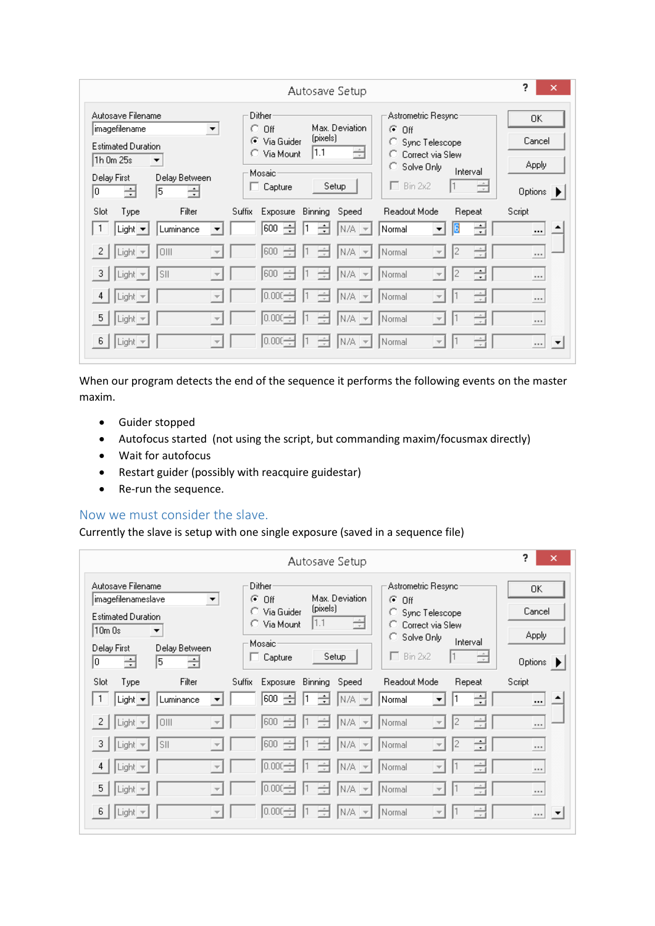| Autosave Setup                                                                                                                                             |                                                                                      |                                                   |                                                                                                                                  |                                         |  |
|------------------------------------------------------------------------------------------------------------------------------------------------------------|--------------------------------------------------------------------------------------|---------------------------------------------------|----------------------------------------------------------------------------------------------------------------------------------|-----------------------------------------|--|
| Autosave Filename<br> imagefilename<br><b>Estimated Duration</b><br>1h Om 25s<br>$\blacktriangledown$<br>Delay Between<br>Delay First<br>÷<br>5<br>÷<br>10 | Dither<br>$\circ$ off<br>▼<br>C Via Guider<br>C Via Mount<br>Mosaic<br>Capture<br>L. | Max. Deviation<br>(pixels)<br>÷<br> 1.1<br>Setup  | Astrometric Resyncr<br>G<br>Off<br>Sync Telescope<br>Ω<br>Correct via Slew<br>Solve Only<br>о<br>Interval<br>$\Box$ Bin 2x2<br>É | 0K<br>Cancel<br><b>Apply</b><br>Options |  |
| Filter<br>Slot<br>Type<br>Luminance<br>Light $\blacktriangledown$                                                                                          | Suffix<br>Exposure<br>÷<br>600<br>▼                                                  | Binning<br>Speed<br>÷<br>1<br>$N/A$ $\rightarrow$ | Readout Mode<br>Repeat<br>÷<br>16<br>Normal<br>$\blacktriangledown$                                                              | Script<br>$\cdots$                      |  |
| $\overline{2}$<br>OIII<br>$ Light  =$                                                                                                                      | ÷<br>600<br>$\overline{\mathcal{M}}$                                                 | ÷<br> n/a   <del>-</del>                          | 싂<br>12<br>Normal<br>$\overline{\phantom{a}}$                                                                                    | $\cdots$                                |  |
| $\vert 3 \vert$<br>SII<br>$\lfloor$ Light $\rfloor$                                                                                                        | 600                                                                                  | ÷<br>N7A.<br>$\overline{\phantom{m}}$             | 릒<br>12<br>Normal<br>$\overline{\phantom{a}}$                                                                                    | $\cdots$                                |  |
| 4<br>$\vert$ Light $\vert \nabla$                                                                                                                          | $0.000 -$                                                                            | ÷<br>IN/A.<br>$\rightarrow$                       | ÷<br>Normal<br>$\overline{\mathcal{N}}$                                                                                          | $\cdots$                                |  |
| $\sqrt{5}$<br>$ $ Light $ $                                                                                                                                | $ 0.000 \div$<br>$\overline{\mathcal{M}}$                                            | ÷<br>IN7A.<br>$\overline{\phantom{a}}$            | $\div$<br>Normal<br>$\overline{\phantom{a}}$                                                                                     | $\cdots$                                |  |
| -6<br>∥Light <u>→</u>                                                                                                                                      | $ 0.000 \div$<br>$\overline{\mathcal{N}}$                                            | ÷<br> n/a   <del>-</del>                          | $\div$<br>Normal<br>$\overline{\phantom{a}}$                                                                                     | $\overline{\phantom{a}}$<br>$\cdots$    |  |

When our program detects the end of the sequence it performs the following events on the master maxim.

- Guider stopped
- Autofocus started (not using the script, but commanding maxim/focusmax directly)
- Wait for autofocus
- Restart guider (possibly with reacquire guidestar)
- Re-run the sequence.

## Now we must consider the slave.

Currently the slave is setup with one single exposure (saved in a sequence file)

|                                                                                                                                                              | ?<br>×                                                                      |                                                  |                                                                                                                                            |                                  |
|--------------------------------------------------------------------------------------------------------------------------------------------------------------|-----------------------------------------------------------------------------|--------------------------------------------------|--------------------------------------------------------------------------------------------------------------------------------------------|----------------------------------|
| Autosave Filename<br> imagefilenameslave<br><b>Estimated Duration</b><br>10m Os<br>$\blacktriangledown$<br>Delay First<br>Delay Between<br>5<br>÷<br>ᅴ<br>10 | Dither<br>G<br>Off<br>▼<br>○ Via Guider<br>C Via Mount<br>Mosaic<br>Capture | Max. Deviation<br>(pixels)<br>É<br> 1.1<br>Setup | Astrometric Resync<br>G<br>Off<br>○ Sync Telescope<br>Correct via Slew<br>n<br>C Solve Only<br>Interval<br>$\Box$ Bin 2x2<br>$\Rightarrow$ | 0K<br>Cancel<br>Apply<br>Options |
| Slot<br>Filter<br>Type                                                                                                                                       | <b>Suffix</b><br>Exposure                                                   | Binning<br>Speed                                 | Readout Mode<br>Repeat                                                                                                                     | Script                           |
| Luminance<br>Light $\blacktriangledown$<br>-1                                                                                                                | 600<br>÷<br>▼                                                               | ÷<br>11<br>$N/A$ $\rightarrow$                   | ÷<br>Normal<br>$\blacktriangledown$                                                                                                        |                                  |
| $\sqrt{2}$<br>OIII<br> Light   <del>v</del>                                                                                                                  | ÷<br>600<br>$\overline{\mathcal{M}}$                                        | ÷<br>$N/A =$                                     | ÷<br>I2<br>Normal<br>$\overline{\phantom{m}}$                                                                                              | 1.11                             |
| (3)<br>SII<br>$ Light  =$                                                                                                                                    | 600<br>$\overline{\phantom{a}}$                                             | ÷<br>$N/A =$                                     | 릒<br>12<br>Normal<br>$\overline{\phantom{m}}$                                                                                              | $\cdots$                         |
| $\left 4\right\rangle$<br>$\lfloor$ Light $\rfloor$ $\preceq$                                                                                                | $ 0.000 -$<br>$\overline{\phantom{a}}$                                      | ÷<br>$N/A$ $\sim$                                | ÷<br>Normal<br>$\overline{\nabla}$                                                                                                         | $\cdots$                         |
| $-5$<br>$\lfloor$ Light $\rfloor$ $\preceq$                                                                                                                  | $ 0.000 -$<br>$\overline{\mathcal{M}}$                                      | $\Rightarrow$<br>N/A<br>$\overline{\phantom{a}}$ | ÷<br>Normal<br>$\overline{\phantom{m}}$                                                                                                    | 1.11                             |
| -6<br>$Light =$                                                                                                                                              | $ 0.000 \div$<br>$\overline{\phantom{a}}$                                   | N/A   <del>-</del>                               | ÷<br>Normal<br>$\overline{\mathcal{A}}$                                                                                                    | $\overline{\phantom{a}}$<br>1.11 |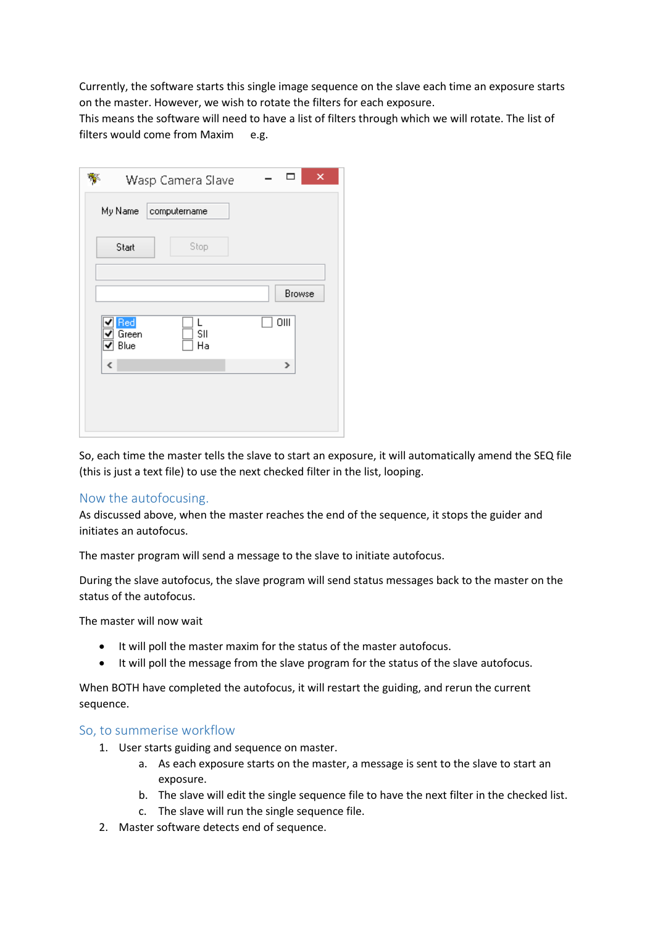Currently, the software starts this single image sequence on the slave each time an exposure starts on the master. However, we wish to rotate the filters for each exposure.

This means the software will need to have a list of filters through which we will rotate. The list of filters would come from Maxim e.g.

| Wasp Camera Slave                      | ×<br>┑ |
|----------------------------------------|--------|
| My Name<br>computername                |        |
| Stop<br>Start                          |        |
|                                        | Browse |
| Red<br>L<br>SII<br>Green<br>Blue<br>Ha | OIII   |
| ∢                                      | ×      |
|                                        |        |
|                                        |        |

So, each time the master tells the slave to start an exposure, it will automatically amend the SEQ file (this is just a text file) to use the next checked filter in the list, looping.

### Now the autofocusing.

As discussed above, when the master reaches the end of the sequence, it stops the guider and initiates an autofocus.

The master program will send a message to the slave to initiate autofocus.

During the slave autofocus, the slave program will send status messages back to the master on the status of the autofocus.

The master will now wait

- It will poll the master maxim for the status of the master autofocus.
- It will poll the message from the slave program for the status of the slave autofocus.

When BOTH have completed the autofocus, it will restart the guiding, and rerun the current sequence.

#### So, to summerise workflow

- 1. User starts guiding and sequence on master.
	- a. As each exposure starts on the master, a message is sent to the slave to start an exposure.
	- b. The slave will edit the single sequence file to have the next filter in the checked list.
	- c. The slave will run the single sequence file.
- 2. Master software detects end of sequence.